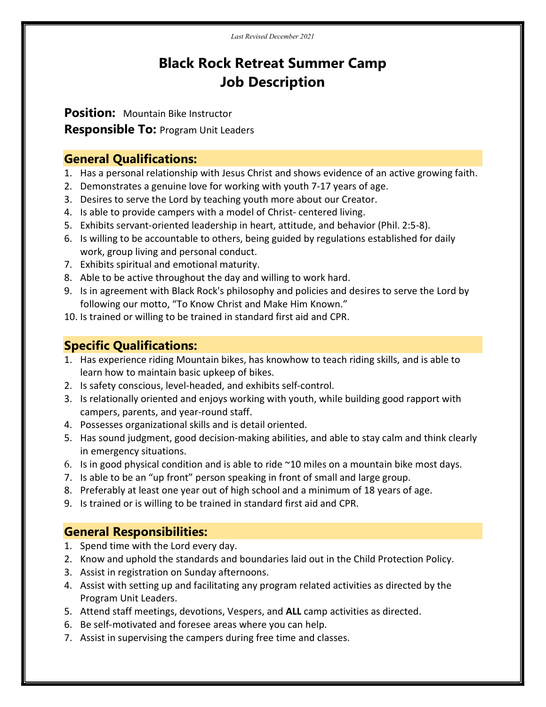# Black Rock Retreat Summer Camp Job Description

Position: Mountain Bike Instructor

**Responsible To: Program Unit Leaders** 

### General Qualifications:

- 1. Has a personal relationship with Jesus Christ and shows evidence of an active growing faith.
- 2. Demonstrates a genuine love for working with youth 7-17 years of age.
- 3. Desires to serve the Lord by teaching youth more about our Creator.
- 4. Is able to provide campers with a model of Christ- centered living.
- 5. Exhibits servant-oriented leadership in heart, attitude, and behavior (Phil. 2:5-8).
- 6. Is willing to be accountable to others, being guided by regulations established for daily work, group living and personal conduct.
- 7. Exhibits spiritual and emotional maturity.
- 8. Able to be active throughout the day and willing to work hard.
- 9. Is in agreement with Black Rock's philosophy and policies and desires to serve the Lord by following our motto, "To Know Christ and Make Him Known."
- 10. Is trained or willing to be trained in standard first aid and CPR.

## Specific Qualifications:

- 1. Has experience riding Mountain bikes, has knowhow to teach riding skills, and is able to learn how to maintain basic upkeep of bikes.
- 2. Is safety conscious, level-headed, and exhibits self-control.
- 3. Is relationally oriented and enjoys working with youth, while building good rapport with campers, parents, and year-round staff.
- 4. Possesses organizational skills and is detail oriented.
- 5. Has sound judgment, good decision-making abilities, and able to stay calm and think clearly in emergency situations.
- 6. Is in good physical condition and is able to ride  $\sim$ 10 miles on a mountain bike most days.
- 7. Is able to be an "up front" person speaking in front of small and large group.
- 8. Preferably at least one year out of high school and a minimum of 18 years of age.
- 9. Is trained or is willing to be trained in standard first aid and CPR.

## General Responsibilities:

- 1. Spend time with the Lord every day.
- 2. Know and uphold the standards and boundaries laid out in the Child Protection Policy.
- 3. Assist in registration on Sunday afternoons.
- 4. Assist with setting up and facilitating any program related activities as directed by the Program Unit Leaders.
- 5. Attend staff meetings, devotions, Vespers, and ALL camp activities as directed.
- 6. Be self-motivated and foresee areas where you can help.
- 7. Assist in supervising the campers during free time and classes.